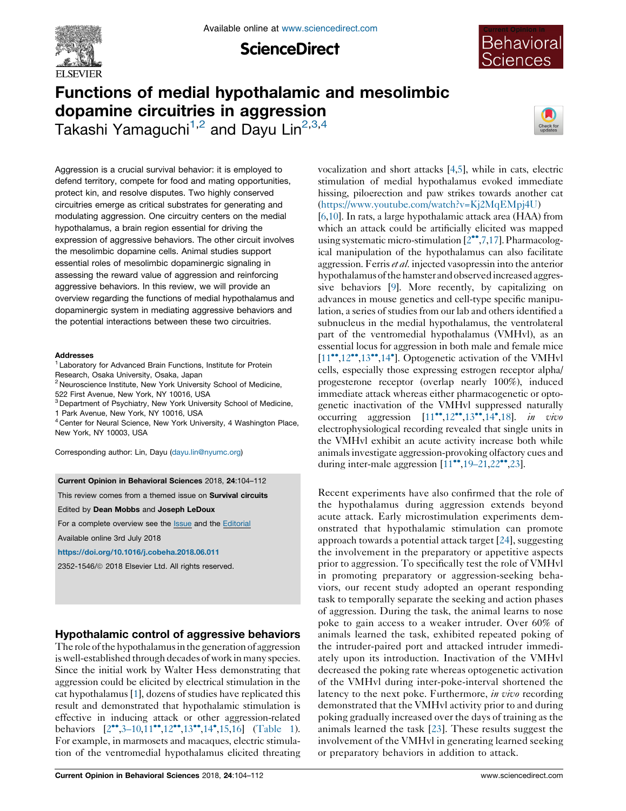

**ScienceDirect** 



# Functions of medial hypothalamic and mesolimbic dopamine circuitries in aggression

Takashi Yamaguchi<sup>1,2</sup> and Dayu Lin<sup>2,3,4</sup>



Aggression is a crucial survival behavior: it is employed to defend territory, compete for food and mating opportunities, protect kin, and resolve disputes. Two highly conserved circuitries emerge as critical substrates for generating and modulating aggression. One circuitry centers on the medial hypothalamus, a brain region essential for driving the expression of aggressive behaviors. The other circuit involves the mesolimbic dopamine cells. Animal studies support essential roles of mesolimbic dopaminergic signaling in assessing the reward value of aggression and reinforcing aggressive behaviors. In this review, we will provide an overview regarding the functions of medial hypothalamus and dopaminergic system in mediating aggressive behaviors and the potential interactions between these two circuitries.

#### Addresses

<sup>1</sup> Laboratory for Advanced Brain Functions, Institute for Protein Research, Osaka University, Osaka, Japan

<sup>2</sup> Neuroscience Institute, New York University School of Medicine, 522 First Avenue, New York, NY 10016, USA

<sup>3</sup> Department of Psychiatry, New York University School of Medicine,

1 Park Avenue, New York, NY 10016, USA

<sup>4</sup> Center for Neural Science, New York University, 4 Washington Place, New York, NY 10003, USA

Corresponding author: Lin, Dayu [\(dayu.lin@nyumc.org\)](mailto:dayu.lin@nyumc.org)

### Current Opinion in Behavioral Sciences 2018, 24:104–112

This review comes from a themed issue on Survival circuits

Edited by Dean Mobbs and Joseph LeDoux

For a complete overview see the **[Issue](http://www.sciencedirect.com/science/journal/23521546/24)** and the [Editorial](https://doi.org/10.1016/j.cobeha.2018.10.004)

Available online 3rd July 2018

<https://doi.org/10.1016/j.cobeha.2018.06.011>

2352-1546/ã 2018 Elsevier Ltd. All rights reserved.

# Hypothalamic control of aggressive behaviors

The role of the hypothalamus in the generation of aggression is well-established through decades of work in many species. Since the initial work by Walter Hess demonstrating that aggression could be elicited by electrical stimulation in the cat hypothalamus [[1](#page-5-0)], dozens of studies have replicated this result and demonstrated that hypothalamic stimulation is effective in inducing attack or other aggression-related behaviors  $[2^{\bullet\bullet}, 3-10, 11^{\bullet\bullet}, 12^{\bullet\bullet}, 13^{\bullet\bullet}, 14^{\bullet}, 15, 16]$  $[2^{\bullet\bullet}, 3-10, 11^{\bullet\bullet}, 12^{\bullet\bullet}, 13^{\bullet\bullet}, 14^{\bullet}, 15, 16]$  $[2^{\bullet\bullet}, 3-10, 11^{\bullet\bullet}, 12^{\bullet\bullet}, 13^{\bullet\bullet}, 14^{\bullet}, 15, 16]$  $[2^{\bullet\bullet}, 3-10, 11^{\bullet\bullet}, 12^{\bullet\bullet}, 13^{\bullet\bullet}, 14^{\bullet}, 15, 16]$  $[2^{\bullet\bullet}, 3-10, 11^{\bullet\bullet}, 12^{\bullet\bullet}, 13^{\bullet\bullet}, 14^{\bullet}, 15, 16]$  ([Table](#page-1-0) 1). For example, in marmosets and macaques, electric stimulation of the ventromedial hypothalamus elicited threating vocalization and short attacks [[4,5\]](#page-5-0), while in cats, electric stimulation of medial hypothalamus evoked immediate hissing, piloerection and paw strikes towards another cat [\(https://www.youtube.com/watch?v=Kj2MqEMpj4U](https://www.youtube.com/watch?v=Kj2MqEMpj4U))

[\[6](#page-5-0)[,10](#page-6-0)]. In rats, a large hypothalamic attack area (HAA) from which an attack could be artificially elicited was mapped using systematic micro-stimulation  $[2^{\bullet\bullet},7,17]$  $[2^{\bullet\bullet},7,17]$  $[2^{\bullet\bullet},7,17]$  $[2^{\bullet\bullet},7,17]$ . Pharmacological manipulation of the hypothalamus can also facilitate aggression. Ferris et al. injected vasopressin into the anterior hypothalamus of the hamster and observed increased aggressive behaviors [[9\]](#page-5-0). More recently, by capitalizing on advances in mouse genetics and cell-type specific manipulation, a series of studies from our lab and others identified a subnucleus in the medial hypothalamus, the ventrolateral part of the ventromedial hypothalamus (VMHvl), as an essential locus for aggression in both male and female mice  $[11^{\bullet}, 12^{\bullet \bullet}, 13^{\bullet \bullet}, 14^{\bullet}]$  $[11^{\bullet}, 12^{\bullet \bullet}, 13^{\bullet \bullet}, 14^{\bullet}]$  $[11^{\bullet}, 12^{\bullet \bullet}, 13^{\bullet \bullet}, 14^{\bullet}]$  $[11^{\bullet}, 12^{\bullet \bullet}, 13^{\bullet \bullet}, 14^{\bullet}]$ . [Optogenetic](#page-6-0) activation of the VMHvl cells, especially those expressing estrogen receptor alpha/ progesterone receptor (overlap nearly 100%), induced immediate attack whereas either pharmacogenetic or optogenetic inactivation of the VMHvl suppressed naturally occurring aggression  $[11^{\bullet\bullet}, 12^{\bullet\bullet}, 13^{\bullet\bullet}, 14^{\bullet}, 18]$  $[11^{\bullet\bullet}, 12^{\bullet\bullet}, 13^{\bullet\bullet}, 14^{\bullet}, 18]$  $[11^{\bullet\bullet}, 12^{\bullet\bullet}, 13^{\bullet\bullet}, 14^{\bullet}, 18]$  $[11^{\bullet\bullet}, 12^{\bullet\bullet}, 13^{\bullet\bullet}, 14^{\bullet}, 18]$  $[11^{\bullet\bullet}, 12^{\bullet\bullet}, 13^{\bullet\bullet}, 14^{\bullet}, 18]$  $[11^{\bullet\bullet}, 12^{\bullet\bullet}, 13^{\bullet\bullet}, 14^{\bullet}, 18]$ . in vivo electrophysiological recording revealed that single units in the VMHvl exhibit an acute activity increase both while animalsinvestigate aggression-provoking olfactory cues and during inter-male aggression  $[11^{\bullet\bullet}, 19-21, 22^{\bullet\bullet}, 23]$  $[11^{\bullet\bullet}, 19-21, 22^{\bullet\bullet}, 23]$  $[11^{\bullet\bullet}, 19-21, 22^{\bullet\bullet}, 23]$  $[11^{\bullet\bullet}, 19-21, 22^{\bullet\bullet}, 23]$  $[11^{\bullet\bullet}, 19-21, 22^{\bullet\bullet}, 23]$ .

Recent experiments have also confirmed that the role of the hypothalamus during aggression extends beyond acute attack. Early microstimulation experiments demonstrated that hypothalamic stimulation can promote approach towards a potential attack target  $[24]$  $[24]$ , suggesting the involvement in the preparatory or appetitive aspects prior to aggression. To specifically test the role of VMHvl in promoting preparatory or aggression-seeking behaviors, our recent study adopted an operant responding task to temporally separate the seeking and action phases of aggression. During the task, the animal learns to nose poke to gain access to a weaker intruder. Over 60% of animals learned the task, exhibited repeated poking of the intruder-paired port and attacked intruder immediately upon its introduction. Inactivation of the VMHvl decreased the poking rate whereas optogenetic activation of the VMHvl during inter-poke-interval shortened the latency to the next poke. Furthermore, in vivo recording demonstrated that the VMHvl activity prior to and during poking gradually increased over the days of training as the animals learned the task [\[23](#page-6-0)]. These results suggest the involvement of the VMHvl in generating learned seeking or preparatory behaviors in addition to attack.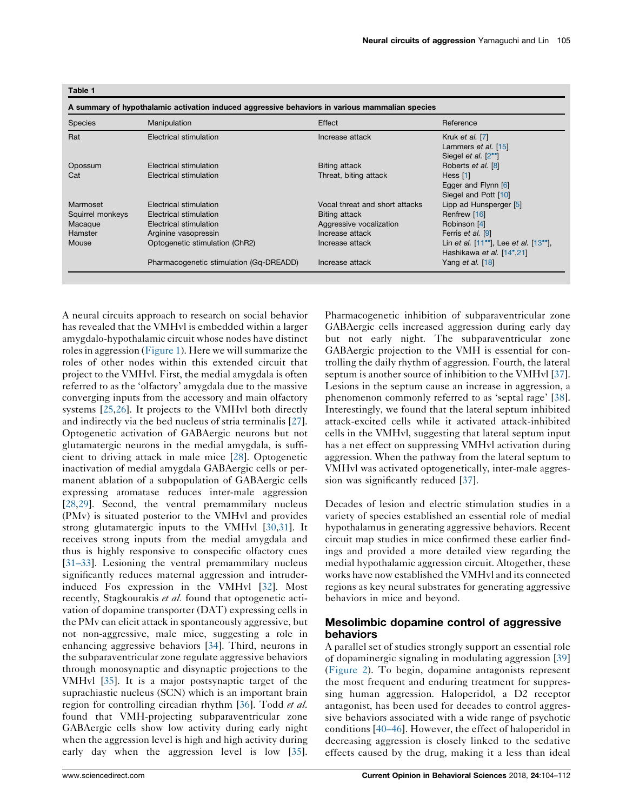| Species          | Manipulation                            | Effect                         | Reference                                               |
|------------------|-----------------------------------------|--------------------------------|---------------------------------------------------------|
| Rat              | Electrical stimulation                  | Increase attack                | Kruk et al. [7]                                         |
|                  |                                         |                                | Lammers et al. [15]                                     |
|                  |                                         |                                | Siegel et al. [2 <sup>*</sup> ]                         |
| Opossum          | Electrical stimulation                  | Biting attack                  | Roberts et al. [8]                                      |
| Cat              | Electrical stimulation                  | Threat, biting attack          | Hess [1]                                                |
|                  |                                         |                                | Egger and Flynn [6]                                     |
|                  |                                         |                                | Siegel and Pott [10]                                    |
| Marmoset         | Electrical stimulation                  | Vocal threat and short attacks | Lipp ad Hunsperger [5]                                  |
| Squirrel monkeys | Electrical stimulation                  | Biting attack                  | Renfrew [16]                                            |
| Macaque          | Electrical stimulation                  | Aggressive vocalization        | Robinson [4]                                            |
| Hamster          | Arginine vasopressin                    | Increase attack                | Ferris et al. [9]                                       |
| Mouse            | Optogenetic stimulation (ChR2)          | Increase attack                | Lin et al. $[11^{\circ}]$ , Lee et al. $[13^{\circ}]$ , |
|                  |                                         |                                | Hashikawa et al. [14°,21]                               |
|                  | Pharmacogenetic stimulation (Gq-DREADD) | Increase attack                | Yang et al. [18]                                        |

<span id="page-1-0"></span>Table 1

A neural circuits approach to research on social behavior has revealed that the VMHvl is embedded within a larger amygdalo-hypothalamic circuit whose nodes have distinct roles in aggression ([Figure](#page-2-0) 1). Here we will summarize the roles of other nodes within this extended circuit that project to the VMHvl. First, the medial amygdala is often referred to as the 'olfactory' amygdala due to the massive converging inputs from the accessory and main olfactory systems [\[25](#page-6-0),[26\]](#page-6-0). It projects to the VMHvl both directly and indirectly via the bed nucleus of stria terminalis [\[27](#page-6-0)]. Optogenetic activation of GABAergic neurons but not glutamatergic neurons in the medial amygdala, is sufficient to driving attack in male mice [\[28](#page-6-0)]. Optogenetic inactivation of medial amygdala GABAergic cells or permanent ablation of a subpopulation of GABAergic cells expressing aromatase reduces inter-male aggression [\[28](#page-6-0),[29\]](#page-6-0). Second, the ventral premammilary nucleus (PMv) is situated posterior to the VMHvl and provides strong glutamatergic inputs to the VMHvl [\[30](#page-6-0),[31\]](#page-6-0). It receives strong inputs from the medial amygdala and thus is highly responsive to conspecific olfactory cues [\[31–33](#page-6-0)]. Lesioning the ventral premammilary nucleus significantly reduces maternal aggression and intruderinduced Fos expression in the VMHvl [[32\]](#page-6-0). Most recently, Stagkourakis et al. found that optogenetic activation of dopamine transporter (DAT) expressing cells in the PMv can elicit attack in spontaneously aggressive, but not non-aggressive, male mice, suggesting a role in enhancing aggressive behaviors [[34\]](#page-6-0). Third, neurons in the subparaventricular zone regulate aggressive behaviors through monosynaptic and disynaptic projections to the VMHvl [[35\]](#page-6-0). It is a major postsynaptic target of the suprachiastic nucleus (SCN) which is an important brain region for controlling circadian rhythm [[36\]](#page-6-0). Todd et al. found that VMH-projecting subparaventricular zone GABAergic cells show low activity during early night when the aggression level is high and high activity during early day when the aggression level is low [\[35](#page-6-0)].

Pharmacogenetic inhibition of subparaventricular zone GABAergic cells increased aggression during early day but not early night. The subparaventricular zone GABAergic projection to the VMH is essential for controlling the daily rhythm of aggression. Fourth, the lateral septum is another source of inhibition to the VMHvl [[37\]](#page-6-0). Lesions in the septum cause an increase in aggression, a phenomenon commonly referred to as 'septal rage' [[38\]](#page-6-0). Interestingly, we found that the lateral septum inhibited attack-excited cells while it activated attack-inhibited cells in the VMHvl, suggesting that lateral septum input has a net effect on suppressing VMHvl activation during aggression. When the pathway from the lateral septum to VMHvl was activated optogenetically, inter-male aggression was significantly reduced [[37\]](#page-6-0).

Decades of lesion and electric stimulation studies in a variety of species established an essential role of medial hypothalamus in generating aggressive behaviors. Recent circuit map studies in mice confirmed these earlier findings and provided a more detailed view regarding the medial hypothalamic aggression circuit. Altogether, these works have now established the VMHvl and its connected regions as key neural substrates for generating aggressive behaviors in mice and beyond.

## Mesolimbic dopamine control of aggressive behaviors

A parallel set of studies strongly support an essential role of dopaminergic signaling in modulating aggression [[39](#page-6-0)] ([Figure](#page-3-0) 2). To begin, dopamine antagonists represent the most frequent and enduring treatment for suppressing human aggression. Haloperidol, a D2 receptor antagonist, has been used for decades to control aggressive behaviors associated with a wide range of psychotic conditions [\[40–46](#page-6-0)]. However, the effect of haloperidol in decreasing aggression is closely linked to the sedative effects caused by the drug, making it a less than ideal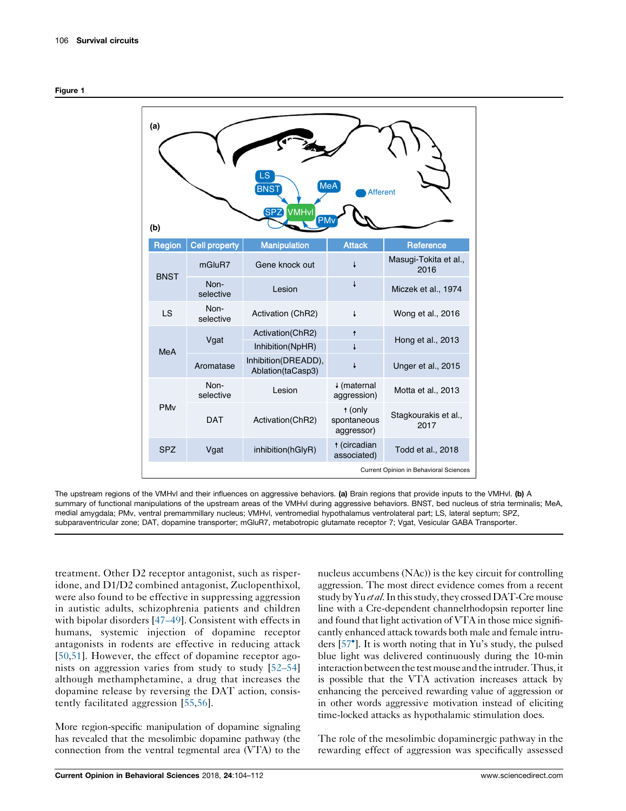<span id="page-2-0"></span>

| (a)<br>_S<br>MeA<br><b>BNST</b><br><b>Afferent</b><br>SPZ)<br>VMHvl<br><b>PM</b><br>(b) |                                        |                                          |                                      |                               |  |  |
|-----------------------------------------------------------------------------------------|----------------------------------------|------------------------------------------|--------------------------------------|-------------------------------|--|--|
| Region                                                                                  | <b>Cell property</b>                   | <b>Manipulation</b>                      | <b>Attack</b>                        | Reference                     |  |  |
| <b>BNST</b>                                                                             | mGluR7                                 | Gene knock out                           |                                      | Masugi-Tokita et al.,<br>2016 |  |  |
|                                                                                         | Non-<br>selective                      | Lesion                                   |                                      | Miczek et al., 1974           |  |  |
| LS                                                                                      | Non-<br>selective                      | Activation (ChR2)                        | t                                    | Wong et al., 2016             |  |  |
| <b>MeA</b>                                                                              | Vgat                                   | Activation(ChR2)<br>Inhibition(NpHR)     | $\ddagger$                           | Hong et al., 2013             |  |  |
|                                                                                         | Aromatase                              | Inhibition(DREADD),<br>Ablation(taCasp3) |                                      | Unger et al., 2015            |  |  |
| <b>PM<sub>v</sub></b>                                                                   | Non-<br>selective                      | Lesion                                   | ↓ (maternal<br>aggression)           | Motta et al., 2013            |  |  |
|                                                                                         | <b>DAT</b>                             | Activation(ChR2)                         | t (only<br>spontaneous<br>aggressor) | Stagkourakis et al.,<br>2017  |  |  |
| <b>SPZ</b>                                                                              | Vgat                                   | inhibition(hGlyR)                        | t (circadian<br>associated)          | Todd et al., 2018             |  |  |
|                                                                                         | Current Opinion in Behavioral Sciences |                                          |                                      |                               |  |  |

The upstream regions of the VMHvl and their influences on aggressive behaviors. (a) Brain regions that provide inputs to the VMHvl. (b) A summary of functional manipulations of the upstream areas of the VMHvl during aggressive behaviors. BNST, bed nucleus of stria terminalis; MeA, medial amygdala; PMv, ventral premammillary nucleus; VMHvl, ventromedial hypothalamus ventrolateral part; LS, lateral septum; SPZ, subparaventricular zone; DAT, dopamine transporter; mGluR7, metabotropic glutamate receptor 7; Vgat, Vesicular GABA Transporter.

treatment. Other D2 receptor antagonist, such as risperidone, and D1/D2 combined antagonist, Zuclopenthixol, were also found to be effective in suppressing aggression in autistic adults, schizophrenia patients and children with bipolar disorders [[47–49\]](#page-7-0). Consistent with effects in humans, systemic injection of dopamine receptor antagonists in rodents are effective in reducing attack [\[50](#page-7-0),[51\]](#page-7-0). However, the effect of dopamine receptor agonists on aggression varies from study to study [\[52–54\]](#page-7-0) although methamphetamine, a drug that increases the dopamine release by reversing the DAT action, consistently facilitated aggression [\[55](#page-7-0),[56](#page-7-0)].

More region-specific manipulation of dopamine signaling has revealed that the mesolimbic dopamine pathway (the connection from the ventral tegmental area (VTA) to the

nucleus accumbens (NAc)) is the key circuit for controlling aggression. The most direct evidence comes from a recent study by Yu et al. In this study, they crossed DAT-Cre mouse line with a Cre-dependent channelrhodopsin reporter line and found that light activation of VTA in those mice significantly enhanced attack towards both male and female intruders [57 ]. It is worth noting that in Yu's study, the [pulsed](#page-7-0) blue light was delivered continuously during the 10-min interaction between the test mouse and the intruder. Thus, it is possible that the VTA activation increases attack by enhancing the perceived rewarding value of aggression or in other words aggressive motivation instead of eliciting time-locked attacks as hypothalamic stimulation does.

The role of the mesolimbic dopaminergic pathway in the rewarding effect of aggression was specifically assessed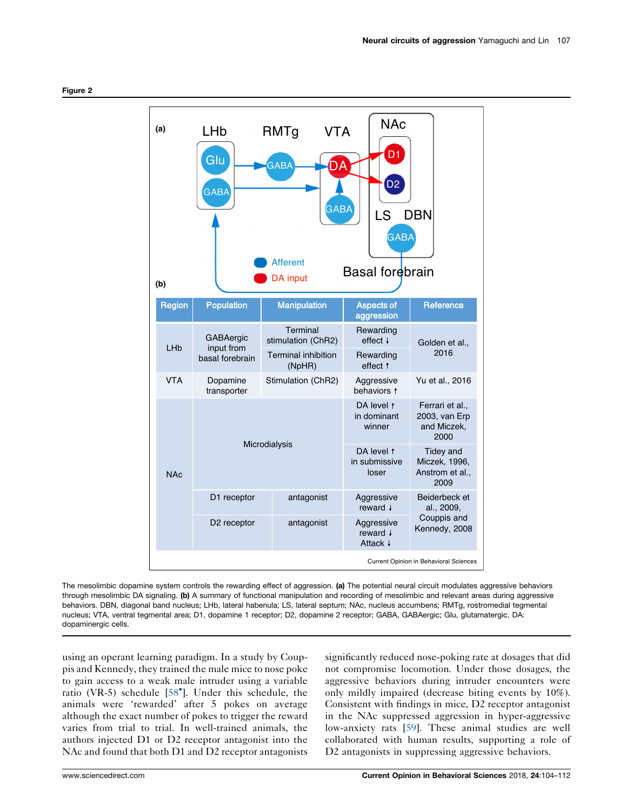<span id="page-3-0"></span>

The mesolimbic dopamine system controls the rewarding effect of aggression. (a) The potential neural circuit modulates aggressive behaviors through mesolimbic DA signaling. (b) A summary of functional manipulation and recording of mesolimbic and relevant areas during aggressive behaviors. DBN, diagonal band nucleus; LHb, lateral habenula; LS, lateral septum; NAc, nucleus accumbens; RMTg, rostromedial tegmental nucleus; VTA, ventral tegmental area; D1, dopamine 1 receptor; D2, dopamine 2 receptor; GABA, GABAergic; Glu, glutamatergic, DA: dopaminergic cells.

using an operant learning paradigm. In a study by Couppis and Kennedy, they trained the male mice to nose poke to gain access to a weak male intruder using a variable ratio (VR-5) schedule [58 ]. Under this [schedule,](#page-7-0) the animals were 'rewarded' after 5 pokes on average although the exact number of pokes to trigger the reward varies from trial to trial. In well-trained animals, the authors injected D1 or D2 receptor antagonist into the NAc and found that both D1 and D2 receptor antagonists

significantly reduced nose-poking rate at dosages that did not compromise locomotion. Under those dosages, the aggressive behaviors during intruder encounters were only mildly impaired (decrease biting events by 10%). Consistent with findings in mice, D2 receptor antagonist in the NAc suppressed aggression in hyper-aggressive low-anxiety rats [[59\]](#page-7-0). These animal studies are well collaborated with human results, supporting a role of D2 antagonists in suppressing aggressive behaviors.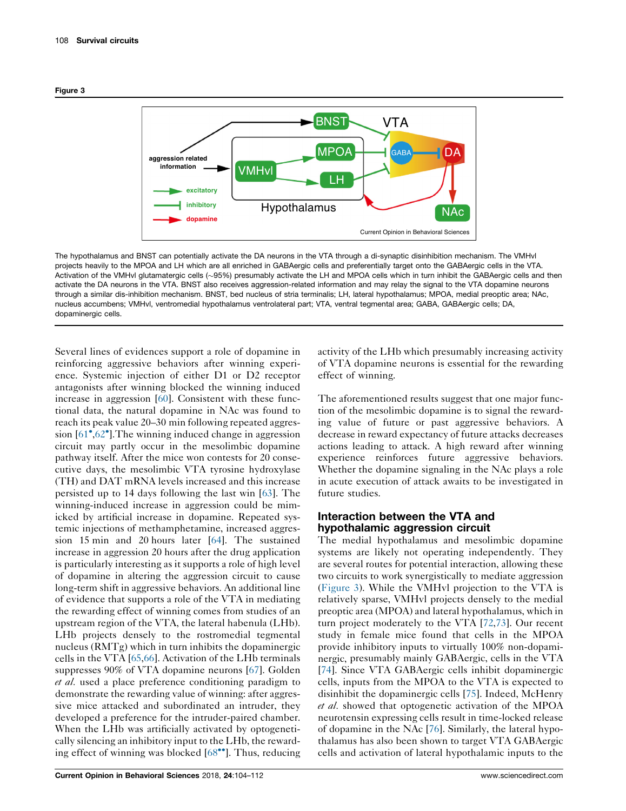



The hypothalamus and BNST can potentially activate the DA neurons in the VTA through a di-synaptic disinhibition mechanism. The VMHvl projects heavily to the MPOA and LH which are all enriched in GABAergic cells and preferentially target onto the GABAergic cells in the VTA. Activation of the VMHvl glutamatergic cells (~95%) presumably activate the LH and MPOA cells which in turn inhibit the GABAergic cells and then activate the DA neurons in the VTA. BNST also receives aggression-related information and may relay the signal to the VTA dopamine neurons through a similar dis-inhibition mechanism. BNST, bed nucleus of stria terminalis; LH, lateral hypothalamus; MPOA, medial preoptic area; NAc, nucleus accumbens; VMHvl, ventromedial hypothalamus ventrolateral part; VTA, ventral tegmental area; GABA, GABAergic cells; DA, dopaminergic cells.

Several lines of evidences support a role of dopamine in reinforcing aggressive behaviors after winning experience. Systemic injection of either D1 or D2 receptor antagonists after winning blocked the winning induced increase in aggression [[60\]](#page-7-0). Consistent with these functional data, the natural dopamine in NAc was found to reach its peak value 20–30 min following repeated aggres-sion [[61](#page-7-0)<sup>•</sup>,62<sup>•</sup>]. The winning induced change in [aggression](#page-7-0) circuit may partly occur in the mesolimbic dopamine pathway itself. After the mice won contests for 20 consecutive days, the mesolimbic VTA tyrosine hydroxylase (TH) and DAT mRNA levels increased and this increase persisted up to 14 days following the last win [[63\]](#page-7-0). The winning-induced increase in aggression could be mimicked by artificial increase in dopamine. Repeated systemic injections of methamphetamine, increased aggression 15 min and 20 hours later [[64\]](#page-7-0). The sustained increase in aggression 20 hours after the drug application is particularly interesting as it supports a role of high level of dopamine in altering the aggression circuit to cause long-term shift in aggressive behaviors. An additional line of evidence that supports a role of the VTA in mediating the rewarding effect of winning comes from studies of an upstream region of the VTA, the lateral habenula (LHb). LHb projects densely to the rostromedial tegmental nucleus (RMTg) which in turn inhibits the dopaminergic cells in the VTA [\[65](#page-7-0),[66\]](#page-7-0). Activation of the LHb terminals suppresses 90% of VTA dopamine neurons [[67\]](#page-7-0). Golden et al. used a place preference conditioning paradigm to demonstrate the rewarding value of winning: after aggressive mice attacked and subordinated an intruder, they developed a preference for the intruder-paired chamber. When the LHb was artificially activated by optogenetically silencing an inhibitory input to the LHb, the rewarding effect of winning was blocked  $[68\text{°}$ <sup>\*</sup>]. Thus, [reducing](#page-7-0)

activity of the LHb which presumably increasing activity of VTA dopamine neurons is essential for the rewarding effect of winning.

The aforementioned results suggest that one major function of the mesolimbic dopamine is to signal the rewarding value of future or past aggressive behaviors. A decrease in reward expectancy of future attacks decreases actions leading to attack. A high reward after winning experience reinforces future aggressive behaviors. Whether the dopamine signaling in the NAc plays a role in acute execution of attack awaits to be investigated in future studies.

# Interaction between the VTA and hypothalamic aggression circuit

The medial hypothalamus and mesolimbic dopamine systems are likely not operating independently. They are several routes for potential interaction, allowing these two circuits to work synergistically to mediate aggression (Figure 3). While the VMHvl projection to the VTA is relatively sparse, VMHvl projects densely to the medial preoptic area (MPOA) and lateral hypothalamus, which in turn project moderately to the VTA [[72,73](#page-7-0)]. Our recent study in female mice found that cells in the MPOA provide inhibitory inputs to virtually 100% non-dopaminergic, presumably mainly GABAergic, cells in the VTA [\[74](#page-7-0)]. Since VTA GABAergic cells inhibit dopaminergic cells, inputs from the MPOA to the VTA is expected to disinhibit the dopaminergic cells [\[75](#page-7-0)]. Indeed, McHenry et al. showed that optogenetic activation of the MPOA neurotensin expressing cells result in time-locked release of dopamine in the NAc [\[76\]](#page-7-0). Similarly, the lateral hypothalamus has also been shown to target VTA GABAergic cells and activation of lateral hypothalamic inputs to the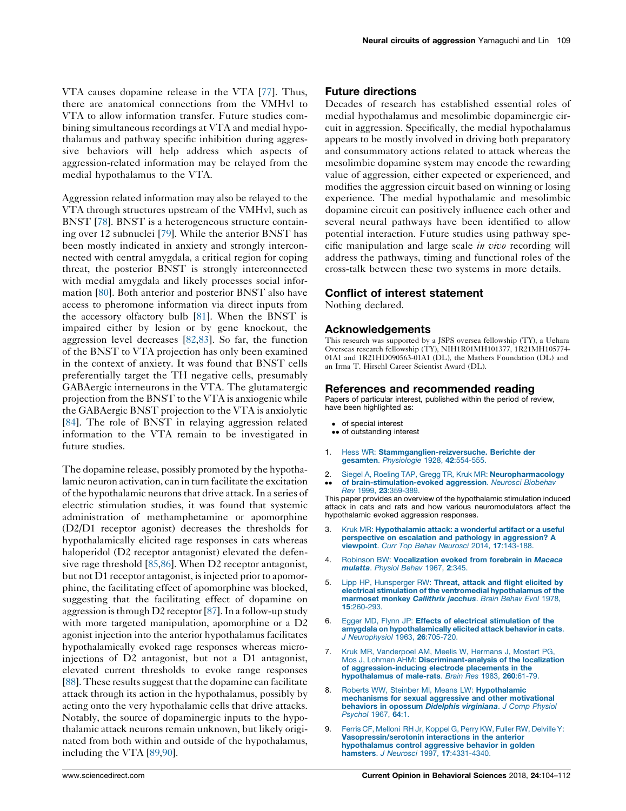<span id="page-5-0"></span>VTA causes dopamine release in the VTA [\[77](#page-7-0)]. Thus, there are anatomical connections from the VMHvl to VTA to allow information transfer. Future studies combining simultaneous recordings at VTA and medial hypothalamus and pathway specific inhibition during aggressive behaviors will help address which aspects of aggression-related information may be relayed from the medial hypothalamus to the VTA.

Aggression related information may also be relayed to the VTA through structures upstream of the VMHvl, such as BNST [\[78](#page-7-0)]. BNST is a heterogeneous structure containing over 12 subnuclei [[79\]](#page-7-0). While the anterior BNST has been mostly indicated in anxiety and strongly interconnected with central amygdala, a critical region for coping threat, the posterior BNST is strongly interconnected with medial amygdala and likely processes social information [\[80](#page-7-0)]. Both anterior and posterior BNST also have access to pheromone information via direct inputs from the accessory olfactory bulb [\[81](#page-7-0)]. When the BNST is impaired either by lesion or by gene knockout, the aggression level decreases [\[82](#page-7-0),[83\]](#page-8-0). So far, the function of the BNST to VTA projection has only been examined in the context of anxiety. It was found that BNST cells preferentially target the TH negative cells, presumably GABAergic interneurons in the VTA. The glutamatergic projection from the BNST to the VTA is anxiogenic while the GABAergic BNST projection to the VTA is anxiolytic [\[84](#page-8-0)]. The role of BNST in relaying aggression related information to the VTA remain to be investigated in future studies.

The dopamine release, possibly promoted by the hypothalamic neuron activation, can in turn facilitate the excitation of the hypothalamic neuronsthat drive attack.In a series of electric stimulation studies, it was found that systemic administration of methamphetamine or apomorphine (D2/D1 receptor agonist) decreases the thresholds for hypothalamically elicited rage responses in cats whereas haloperidol (D2 receptor antagonist) elevated the defen-sive rage threshold [\[85,86](#page-8-0)]. When D2 receptor antagonist, but not D1 receptor antagonist, is injected prior to apomorphine, the facilitating effect of apomorphine was blocked, suggesting that the facilitating effect of dopamine on aggression is through  $D2$  receptor [[87](#page-8-0)]. In a follow-up study with more targeted manipulation, apomorphine or a D2 agonist injection into the anterior hypothalamus facilitates hypothalamically evoked rage responses whereas microinjections of D2 antagonist, but not a D1 antagonist, elevated current thresholds to evoke range responses [\[88](#page-8-0)]. These results suggest that the dopamine can facilitate attack through its action in the hypothalamus, possibly by acting onto the very hypothalamic cells that drive attacks. Notably, the source of dopaminergic inputs to the hypothalamic attack neurons remain unknown, but likely originated from both within and outside of the hypothalamus, including the VTA [[89](#page-8-0),[90\]](#page-8-0).

## Future directions

Decades of research has established essential roles of medial hypothalamus and mesolimbic dopaminergic circuit in aggression. Specifically, the medial hypothalamus appears to be mostly involved in driving both preparatory and consummatory actions related to attack whereas the mesolimbic dopamine system may encode the rewarding value of aggression, either expected or experienced, and modifies the aggression circuit based on winning or losing experience. The medial hypothalamic and mesolimbic dopamine circuit can positively influence each other and several neural pathways have been identified to allow potential interaction. Future studies using pathway specific manipulation and large scale in vivo recording will address the pathways, timing and functional roles of the cross-talk between these two systems in more details.

## Conflict of interest statement

Nothing declared.

#### Acknowledgements

This research was supported by a JSPS oversea fellowship (TY), a Uehara Overseas research fellowship (TY), NIH1R01MH101377, 1R21MH105774- 01A1 and 1R21HD090563-01A1 (DL), the Mathers Foundation (DL) and an Irma T. Hirschl Career Scientist Award (DL).

#### References and recommended reading

Papers of particular interest, published within the period of review, have been highlighted as:

- of special interest
- •• of outstanding interest
- 1. Hess WR: [Stammganglien-reizversuche.](http://refhub.elsevier.com/S2352-1546(18)30077-9/sbref0005) Berichte der gesamten. [Physiologie](http://refhub.elsevier.com/S2352-1546(18)30077-9/sbref0005) 1928, 42:554-555.
- 2. Siegel A, Roeling TAP, Gregg TR, Kruk MR: [Neuropharmacology](http://refhub.elsevier.com/S2352-1546(18)30077-9/sbref0010)
- $\ddot{\phantom{0}}$ of [brain-stimulation-evoked](http://refhub.elsevier.com/S2352-1546(18)30077-9/sbref0010) aggression. Neurosci Biobehav Rev 1999, 23[:359-389.](http://refhub.elsevier.com/S2352-1546(18)30077-9/sbref0010)

This paper provides an overview of the hypothalamic stimulation induced attack in cats and rats and how various neuromodulators affect the hypothalamic evoked aggression responses.

- 3. Kruk MR: [Hypothalamic](http://refhub.elsevier.com/S2352-1546(18)30077-9/sbref0015) attack: a wonderful artifact or a useful perspective on escalation and pathology in [aggression?](http://refhub.elsevier.com/S2352-1546(18)30077-9/sbref0015) A [viewpoint](http://refhub.elsevier.com/S2352-1546(18)30077-9/sbref0015). Curr Top Behav Neurosci 2014, 17:143-188.
- 4. Robinson BW: [Vocalization](http://refhub.elsevier.com/S2352-1546(18)30077-9/sbref0020) evoked from forebrain in Macaca [mulatta](http://refhub.elsevier.com/S2352-1546(18)30077-9/sbref0020). Physiol Behav 1967, 2:345.
- 5. Lipp HP, [Hunsperger](http://refhub.elsevier.com/S2352-1546(18)30077-9/sbref0025) RW: Threat, attack and flight elicited by electrical stimulation of the ventromedial [hypothalamus](http://refhub.elsevier.com/S2352-1546(18)30077-9/sbref0025) of the [marmoset](http://refhub.elsevier.com/S2352-1546(18)30077-9/sbref0025) monkey Callithrix jacchus. Brain Behav Evol 1978, 15[:260-293.](http://refhub.elsevier.com/S2352-1546(18)30077-9/sbref0025)
- 6. Egger MD, Flynn JP: Effects of electrical [stimulation](http://refhub.elsevier.com/S2352-1546(18)30077-9/sbref0030) of the amygdala on [hypothalamically](http://refhub.elsevier.com/S2352-1546(18)30077-9/sbref0030) elicited attack behavior in cats. J [Neurophysiol](http://refhub.elsevier.com/S2352-1546(18)30077-9/sbref0030) 1963, 26:705-720.
- 7. Kruk MR, [Vanderpoel](http://refhub.elsevier.com/S2352-1546(18)30077-9/sbref0035) AM, Meelis W, Hermans J, Mostert PG, Mos J, Lohman AHM: [Discriminant-analysis](http://refhub.elsevier.com/S2352-1546(18)30077-9/sbref0035) of the localization of [aggression-inducing](http://refhub.elsevier.com/S2352-1546(18)30077-9/sbref0035) electrode placements in the [hypothalamus](http://refhub.elsevier.com/S2352-1546(18)30077-9/sbref0035) of male-rats. Brain Res 1983, 260:61-79.
- 8. Roberts WW, Steinber MI, Means LW: [Hypothalamic](http://refhub.elsevier.com/S2352-1546(18)30077-9/sbref0040) [mechanisms](http://refhub.elsevier.com/S2352-1546(18)30077-9/sbref0040) for sexual aggressive and other motivational behaviors in opossum Didelphis [virginiana](http://refhub.elsevier.com/S2352-1546(18)30077-9/sbref0040). J Comp Physiol [Psychol](http://refhub.elsevier.com/S2352-1546(18)30077-9/sbref0040) 1967, 64:1.
- 9. Ferris CF, [Melloni](http://refhub.elsevier.com/S2352-1546(18)30077-9/sbref0045) RH Jr, Koppel G, Perry KW, Fuller RW, Delville Y: [Vasopressin/serotonin](http://refhub.elsevier.com/S2352-1546(18)30077-9/sbref0045) interactions in the anterior [hypothalamus](http://refhub.elsevier.com/S2352-1546(18)30077-9/sbref0045) control aggressive behavior in golden hamsters. J Neurosci 1997, 17[:4331-4340.](http://refhub.elsevier.com/S2352-1546(18)30077-9/sbref0045)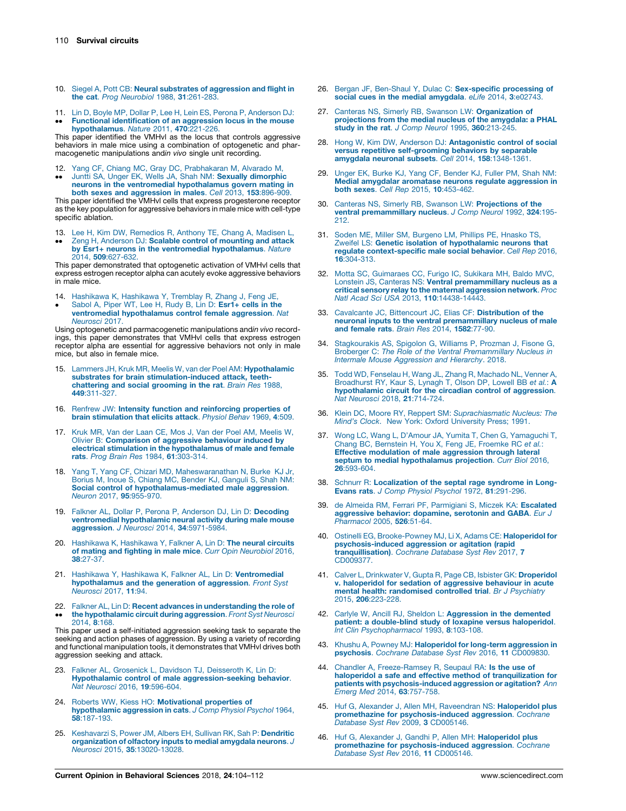- <span id="page-6-0"></span>10. Siegel A, Pott CB: Neural substrates of [aggression](http://refhub.elsevier.com/S2352-1546(18)30077-9/sbref0050) and flight in the cat. Prog [Neurobiol](http://refhub.elsevier.com/S2352-1546(18)30077-9/sbref0050) 1988, 31:261-283
- 11. Lin D, Boyle MP, Dollar P, Lee H, Lein ES, Perona P, [Anderson](http://refhub.elsevier.com/S2352-1546(18)30077-9/sbref0055) DJ:
- $\bullet\bullet$ Functional [identification](http://refhub.elsevier.com/S2352-1546(18)30077-9/sbref0055) of an aggression locus in the mouse [hypothalamus](http://refhub.elsevier.com/S2352-1546(18)30077-9/sbref0055). Nature 2011, 470:221-226.

This paper identified the VMHvl as the locus that controls aggressive behaviors in male mice using a combination of optogenetic and pharmacogenetic manipulations andin vivo single unit recording.

- 12.
- $\ddot{\phantom{0}}$ Yang CF, Chiang MC, Gray DC, [Prabhakaran](http://refhub.elsevier.com/S2352-1546(18)30077-9/sbref0060) M, Alvarado M,<br>Juntti SA, Unger EK, Wells JA, Shah NM: **Sexually [dimorphic](http://refhub.elsevier.com/S2352-1546(18)30077-9/sbref0060)** neurons in the ventromedial [hypothalamus](http://refhub.elsevier.com/S2352-1546(18)30077-9/sbref0060) govern mating in both sexes and [aggression](http://refhub.elsevier.com/S2352-1546(18)30077-9/sbref0060) in males. Cell 2013, 153:896-909.

This paper identified the VMHvl cells that express progesterone receptor as the key population for aggressive behaviors in male mice with cell-type specific ablation.

13. Lee H, Kim DW, [Remedios](http://refhub.elsevier.com/S2352-1546(18)30077-9/sbref0065) R, Anthony TE, Chang A, Madisen L,

 $\bullet\bullet$ Zeng H, Anderson DJ: Scalable control of [mounting](http://refhub.elsevier.com/S2352-1546(18)30077-9/sbref0065) and attack by Esr1+ neurons in the ventromedial [hypothalamus](http://refhub.elsevier.com/S2352-1546(18)30077-9/sbref0065). Nature 2014, 509[:627-632.](http://refhub.elsevier.com/S2352-1546(18)30077-9/sbref0065)

This paper demonstrated that optogenetic activation of VMHvl cells that express estrogen receptor alpha can acutely evoke aggressive behaviors in male mice.

- 14. [Hashikawa](http://refhub.elsevier.com/S2352-1546(18)30077-9/sbref0070) K, Hashikawa Y, Tremblay R, Zhang J, Feng JE,
- $\bullet$ Sabol A, Piper WT, Lee H, Rudy B, Lin D: [Esr1+](http://refhub.elsevier.com/S2352-1546(18)30077-9/sbref0070) cells in the ventromedial [hypothalamus](http://refhub.elsevier.com/S2352-1546(18)30077-9/sbref0070) control female aggression. Nat [Neurosci](http://refhub.elsevier.com/S2352-1546(18)30077-9/sbref0070) 2017.

Using optogenetic and parmacogenetic manipulations andin vivo recordings, this paper demonstrates that VMHvl cells that express estrogen receptor alpha are essential for aggressive behaviors not only in male mice, but also in female mice.

- 15. Lammers JH, Kruk MR, Meelis W, van der Poel AM: [Hypothalamic](http://refhub.elsevier.com/S2352-1546(18)30077-9/sbref0075) substrates for brain [stimulation-induced](http://refhub.elsevier.com/S2352-1546(18)30077-9/sbref0075) attack, teeth[chattering](http://refhub.elsevier.com/S2352-1546(18)30077-9/sbref0075) and social grooming in the rat. Brain Res 1988, 449[:311-327.](http://refhub.elsevier.com/S2352-1546(18)30077-9/sbref0075)
- 16. Renfrew JW: Intensity function and [reinforcing](http://refhub.elsevier.com/S2352-1546(18)30077-9/sbref0080) properties of brain [stimulation](http://refhub.elsevier.com/S2352-1546(18)30077-9/sbref0080) that elicits attack. Physiol Behav 1969, 4:509.
- 17. Kruk MR, Van der Laan CE, Mos J, Van der Poel AM, [Meelis](http://refhub.elsevier.com/S2352-1546(18)30077-9/sbref0085) W, Olivier B: [Comparison](http://refhub.elsevier.com/S2352-1546(18)30077-9/sbref0085) of aggressive behaviour induced by electrical stimulation in the [hypothalamus](http://refhub.elsevier.com/S2352-1546(18)30077-9/sbref0085) of male and female rats. Prog Brain Res 1984, 61[:303-314.](http://refhub.elsevier.com/S2352-1546(18)30077-9/sbref0085)
- 18. Yang T, Yang CF, Chizari MD, [Maheswaranathan](http://refhub.elsevier.com/S2352-1546(18)30077-9/sbref0090) N, Burke KJ Jr, Borius M, Inoue S, Chiang MC, Bender KJ, [Ganguli](http://refhub.elsevier.com/S2352-1546(18)30077-9/sbref0090) S, Shah NM: Social control of [hypothalamus-mediated](http://refhub.elsevier.com/S2352-1546(18)30077-9/sbref0090) male aggression. Neuron 2017, 95[:955-970.](http://refhub.elsevier.com/S2352-1546(18)30077-9/sbref0090)
- 19. Falkner AL, Dollar P, Perona P, Anderson DJ, Lin D: [Decoding](http://refhub.elsevier.com/S2352-1546(18)30077-9/sbref0095) ventromedial [hypothalamic](http://refhub.elsevier.com/S2352-1546(18)30077-9/sbref0095) neural activity during male mouse aggression. J Neurosci 2014, 34[:5971-5984.](http://refhub.elsevier.com/S2352-1546(18)30077-9/sbref0095)
- 20. [Hashikawa](http://refhub.elsevier.com/S2352-1546(18)30077-9/sbref0100) K, Hashikawa Y, Falkner A, Lin D: The neural circuits of mating and fighting in male mice. Curr Opin [Neurobiol](http://refhub.elsevier.com/S2352-1546(18)30077-9/sbref0100) 2016, 38[:27-37.](http://refhub.elsevier.com/S2352-1546(18)30077-9/sbref0100)
- 21. Hashikawa Y, Hashikawa K, Falkner AL, Lin D: [Ventromedial](http://refhub.elsevier.com/S2352-1546(18)30077-9/sbref0105) [hypothalamus](http://refhub.elsevier.com/S2352-1546(18)30077-9/sbref0105) and the generation of aggression. Front Syst [Neurosci](http://refhub.elsevier.com/S2352-1546(18)30077-9/sbref0105) 2017, 11:94.
- 22. Falkner AL, Lin D: Recent advances in [understanding](http://refhub.elsevier.com/S2352-1546(18)30077-9/sbref0110) the role of  $\bullet$ the [hypothalamic](http://refhub.elsevier.com/S2352-1546(18)30077-9/sbref0110) circuit during aggression. Front Syst Neurosci [2014,](http://refhub.elsevier.com/S2352-1546(18)30077-9/sbref0110) 8:168.

This paper used a self-initiated aggression seeking task to separate the seeking and action phases of aggression. By using a variety of recording and functional manipulation tools, it demonstrates that VMHvl drives both aggression seeking and attack.

- 23. Falkner AL, Grosenick L, Davidson TJ, [Deisseroth](http://refhub.elsevier.com/S2352-1546(18)30077-9/sbref0115) K, Lin D: Hypothalamic control of male [aggression-seeking](http://refhub.elsevier.com/S2352-1546(18)30077-9/sbref0115) behavior. Nat Neurosci 2016, 19[:596-604.](http://refhub.elsevier.com/S2352-1546(18)30077-9/sbref0115)
- 24. Roberts WW, Kiess HO: [Motivational](http://refhub.elsevier.com/S2352-1546(18)30077-9/sbref0120) properties of [hypothalamic](http://refhub.elsevier.com/S2352-1546(18)30077-9/sbref0120) aggression in cats. J Comp Physiol Psychol 1964, 58[:187-193.](http://refhub.elsevier.com/S2352-1546(18)30077-9/sbref0120)
- 25. [Keshavarzi](http://refhub.elsevier.com/S2352-1546(18)30077-9/sbref0125) S, Power JM, Albers EH, Sullivan RK, Sah P: Dendritic [organization](http://refhub.elsevier.com/S2352-1546(18)30077-9/sbref0125) of olfactory inputs to medial amygdala neurons. J Neurosci 2015, 35[:13020-13028.](http://refhub.elsevier.com/S2352-1546(18)30077-9/sbref0125)
- 26. Bergan JF, Ben-Shaul Y, Dulac C: [Sex-specific](http://refhub.elsevier.com/S2352-1546(18)30077-9/sbref0130) processing of social cues in the medial [amygdala](http://refhub.elsevier.com/S2352-1546(18)30077-9/sbref0130). eLife 2014, 3:e02743
- 27. Canteras NS, Simerly RB, Swanson LW: [Organization](http://refhub.elsevier.com/S2352-1546(18)30077-9/sbref0135) of [projections](http://refhub.elsevier.com/S2352-1546(18)30077-9/sbref0135) from the medial nucleus of the amygdala: a PHAL study in the rat. J Comp Neurol 1995, 360[:213-245.](http://refhub.elsevier.com/S2352-1546(18)30077-9/sbref0135)
- 28. Hong W, Kim DW, Anderson DJ: [Antagonistic](http://refhub.elsevier.com/S2352-1546(18)30077-9/sbref0140) control of social versus repetitive [self-grooming](http://refhub.elsevier.com/S2352-1546(18)30077-9/sbref0140) behaviors by separable amygdala neuronal subsets. Cell 2014, 158[:1348-1361.](http://refhub.elsevier.com/S2352-1546(18)30077-9/sbref0140)
- 29. Unger EK, Burke KJ, Yang CF, [Bender](http://refhub.elsevier.com/S2352-1546(18)30077-9/sbref0145) KJ, Fuller PM, Shah NM: Medial amygdalar aromatase neurons regulate [aggression](http://refhub.elsevier.com/S2352-1546(18)30077-9/sbref0145) in both sexes. Cell Rep 2015, 10[:453-462.](http://refhub.elsevier.com/S2352-1546(18)30077-9/sbref0145)
- 30. Canteras NS, Simerly RB, Swanson LW: [Projections](http://refhub.elsevier.com/S2352-1546(18)30077-9/sbref0150) of the ventral [premammillary](http://refhub.elsevier.com/S2352-1546(18)30077-9/sbref0150) nucleus. J Comp Neurol 1992, 324:195- [212.](http://refhub.elsevier.com/S2352-1546(18)30077-9/sbref0150)
- 31. Soden ME, Miller SM, [Burgeno](http://refhub.elsevier.com/S2352-1546(18)30077-9/sbref0155) LM, Phillips PE, Hnasko TS, Zweifel LS: Genetic isolation of [hypothalamic](http://refhub.elsevier.com/S2352-1546(18)30077-9/sbref0155) neurons that regulate [context-specific](http://refhub.elsevier.com/S2352-1546(18)30077-9/sbref0155) male social behavior. Cell Rep 2016, 16[:304-313.](http://refhub.elsevier.com/S2352-1546(18)30077-9/sbref0155)
- 32. Motta SC, [Guimaraes](http://refhub.elsevier.com/S2352-1546(18)30077-9/sbref0160) CC, Furigo IC, Sukikara MH, Baldo MVC, Lonstein JS, Canteras NS: Ventral [premammillary](http://refhub.elsevier.com/S2352-1546(18)30077-9/sbref0160) nucleus as a critical sensory relay to the maternal [aggression](http://refhub.elsevier.com/S2352-1546(18)30077-9/sbref0160) network. Proc Natl Acad Sci USA 2013, 110[:14438-14443.](http://refhub.elsevier.com/S2352-1546(18)30077-9/sbref0160)
- 33. Cavalcante JC, Bittencourt JC, Elias CF: [Distribution](http://refhub.elsevier.com/S2352-1546(18)30077-9/sbref0165) of the neuronal inputs to the ventral [premammillary](http://refhub.elsevier.com/S2352-1546(18)30077-9/sbref0165) nucleus of male and [female](http://refhub.elsevier.com/S2352-1546(18)30077-9/sbref0165) rats. Brain Res 2014, 1582:77-90.
- 34. [Stagkourakis](http://refhub.elsevier.com/S2352-1546(18)30077-9/sbref0170) AS, Spigolon G, Williams P, Prozman J, Fisone G, Broberger C: The Role of the Ventral [Premammillary](http://refhub.elsevier.com/S2352-1546(18)30077-9/sbref0170) Nucleus in Intermale Mouse [Aggression](http://refhub.elsevier.com/S2352-1546(18)30077-9/sbref0170) and Hierarchy. 2018.
- 35. Todd WD, Fenselau H, Wang JL, Zhang R, [Machado](http://refhub.elsevier.com/S2352-1546(18)30077-9/sbref0175) NL, Venner A, [Broadhurst](http://refhub.elsevier.com/S2352-1546(18)30077-9/sbref0175) RY, Kaur S, Lynagh T, Olson DP, Lowell BB et al.: A [hypothalamic](http://refhub.elsevier.com/S2352-1546(18)30077-9/sbref0175) circuit for the circadian control of aggression. Nat Neurosci 2018, 21[:714-724.](http://refhub.elsevier.com/S2352-1546(18)30077-9/sbref0175)
- 36. Klein DC, Moore RY, Reppert SM: [Suprachiasmatic](http://refhub.elsevier.com/S2352-1546(18)30077-9/sbref0180) Nucleus: The Mind's Clock. New York: Oxford [University](http://refhub.elsevier.com/S2352-1546(18)30077-9/sbref0180) Press; 1991.
- 37. Wong LC, Wang L, D'Amour JA, Yumita T, Chen G, [Yamaguchi](http://refhub.elsevier.com/S2352-1546(18)30077-9/sbref0185) T, Chang BC, [Bernstein](http://refhub.elsevier.com/S2352-1546(18)30077-9/sbref0185) H, You X, Feng JE, Froemke RC et al.: Effective [modulation](http://refhub.elsevier.com/S2352-1546(18)30077-9/sbref0185) of male aggression through lateral septum to medial [hypothalamus](http://refhub.elsevier.com/S2352-1546(18)30077-9/sbref0185) projection. Curr Biol 2016, 26[:593-604.](http://refhub.elsevier.com/S2352-1546(18)30077-9/sbref0185)
- 38. Schnurr R: [Localization](http://refhub.elsevier.com/S2352-1546(18)30077-9/sbref0190) of the septal rage syndrome in Long-Evans rats. J Comp Physiol Psychol 1972, 81[:291-296.](http://refhub.elsevier.com/S2352-1546(18)30077-9/sbref0190)
- 39. de Almeida RM, Ferrari PF, Parmigiani S, Miczek KA: [Escalated](http://refhub.elsevier.com/S2352-1546(18)30077-9/sbref0195) [aggressive](http://refhub.elsevier.com/S2352-1546(18)30077-9/sbref0195) behavior: dopamine, serotonin and GABA. Eur J [Pharmacol](http://refhub.elsevier.com/S2352-1546(18)30077-9/sbref0195) 2005, 526:51-64.
- 40. Ostinelli EG, [Brooke-Powney](http://refhub.elsevier.com/S2352-1546(18)30077-9/sbref0200) MJ, Li X, Adams CE: Haloperidol for [psychosis-induced](http://refhub.elsevier.com/S2352-1546(18)30077-9/sbref0200) aggression or agitation (rapid [tranquillisation\)](http://refhub.elsevier.com/S2352-1546(18)30077-9/sbref0200). Cochrane Database Syst Rev 2017, 7 [CD009377.](http://refhub.elsevier.com/S2352-1546(18)30077-9/sbref0200)
- 41. Calver L, Drinkwater V, Gupta R, Page CB, Isbister GK: [Droperidol](http://refhub.elsevier.com/S2352-1546(18)30077-9/sbref0205) v. [haloperidol](http://refhub.elsevier.com/S2352-1546(18)30077-9/sbref0205) for sedation of aggressive behaviour in acute mental health: [randomised](http://refhub.elsevier.com/S2352-1546(18)30077-9/sbref0205) controlled trial. Br J Psychiatry 2015, 206[:223-228.](http://refhub.elsevier.com/S2352-1546(18)30077-9/sbref0205)
- 42. Carlyle W, Ancill RJ, Sheldon L: [Aggression](http://refhub.elsevier.com/S2352-1546(18)30077-9/sbref0210) in the demented patient: a [double-blind](http://refhub.elsevier.com/S2352-1546(18)30077-9/sbref0210) study of loxapine versus haloperidol. Int Clin [Psychopharmacol](http://refhub.elsevier.com/S2352-1546(18)30077-9/sbref0210) 1993, 8:103-108.
- 43. Khushu A, Powney MJ: [Haloperidol](http://refhub.elsevier.com/S2352-1546(18)30077-9/sbref0215) for long-term aggression in psychosis. Cochrane Database Syst Rev 2016, 11 [CD009830.](http://refhub.elsevier.com/S2352-1546(18)30077-9/sbref0215)
- 44. Chandler A, [Freeze-Ramsey](http://refhub.elsevier.com/S2352-1546(18)30077-9/sbref0220) R, Seupaul RA: Is the use of haloperidol a safe and effective method of [tranquilization](http://refhub.elsevier.com/S2352-1546(18)30077-9/sbref0220) for patients with [psychosis-induced](http://refhub.elsevier.com/S2352-1546(18)30077-9/sbref0220) aggression or agitation? Ann Emerg Med 2014, 63[:757-758.](http://refhub.elsevier.com/S2352-1546(18)30077-9/sbref0220)
- 45. Huf G, Alexander J, Allen MH, Raveendran NS: [Haloperidol](http://refhub.elsevier.com/S2352-1546(18)30077-9/sbref0225) plus promethazine for [psychosis-induced](http://refhub.elsevier.com/S2352-1546(18)30077-9/sbref0225) aggression. Cochrane<br>Database Syst Rev 2009, 3 [CD005146.](http://refhub.elsevier.com/S2352-1546(18)30077-9/sbref0225)
- 46. Huf G, Alexander J, Gandhi P, Allen MH: [Haloperidol](http://refhub.elsevier.com/S2352-1546(18)30077-9/sbref0230) plus promethazine for [psychosis-induced](http://refhub.elsevier.com/S2352-1546(18)30077-9/sbref0230) aggression. Cochrane Database Syst Rev 2016, 11 [CD005146.](http://refhub.elsevier.com/S2352-1546(18)30077-9/sbref0230)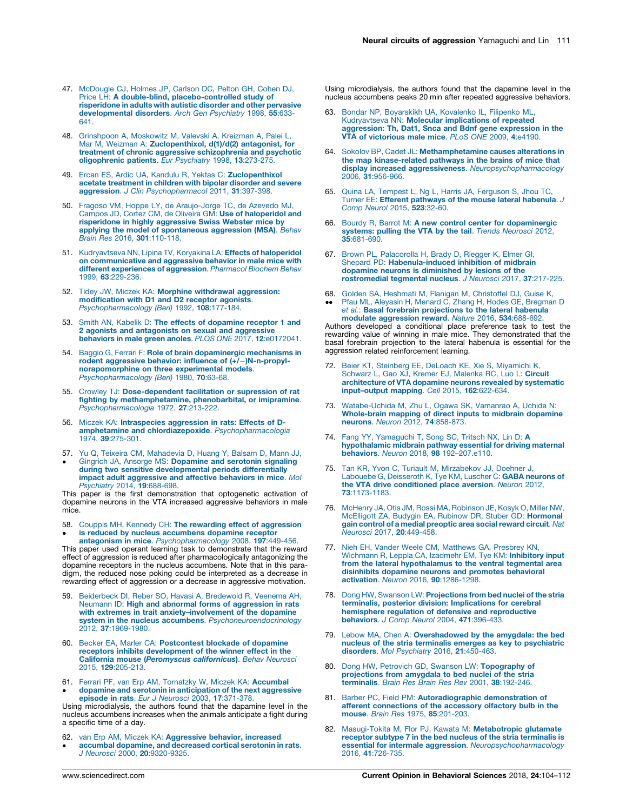- <span id="page-7-0"></span>47. [McDougle](http://refhub.elsevier.com/S2352-1546(18)30077-9/sbref0235) CJ, Holmes JP, Carlson DC, Pelton GH, Cohen DJ, Price LH: A double-blind, [placebo-controlled](http://refhub.elsevier.com/S2352-1546(18)30077-9/sbref0235) study of [risperidone](http://refhub.elsevier.com/S2352-1546(18)30077-9/sbref0235) in adults with autistic disorder and other pervasive [developmental](http://refhub.elsevier.com/S2352-1546(18)30077-9/sbref0235) disorders. Arch Gen Psychiatry 1998, 55:633- [641.](http://refhub.elsevier.com/S2352-1546(18)30077-9/sbref0235)
- 48. [Grinshpoon](http://refhub.elsevier.com/S2352-1546(18)30077-9/sbref0240) A, Moskowitz M, Valevski A, Kreizman A, Palei L, Mar M, Weizman A: [Zuclopenthixol,](http://refhub.elsevier.com/S2352-1546(18)30077-9/sbref0240) d(1)/d(2) antagonist, for treatment of chronic aggressive [schizophrenia](http://refhub.elsevier.com/S2352-1546(18)30077-9/sbref0240) and psychotic [oligophrenic](http://refhub.elsevier.com/S2352-1546(18)30077-9/sbref0240) patients. Eur Psychiatry 1998, 13:273-275.
- 49. Ercan ES, Ardic UA, Kandulu R, Yektas C: [Zuclopenthixol](http://refhub.elsevier.com/S2352-1546(18)30077-9/sbref0245) acetate [treatment](http://refhub.elsevier.com/S2352-1546(18)30077-9/sbref0245) in children with bipolar disorder and severe aggression. J Clin [Psychopharmacol](http://refhub.elsevier.com/S2352-1546(18)30077-9/sbref0245) 2011, 31:397-398.
- 50. Fragoso VM, Hoppe LY, de [Araujo-Jorge](http://refhub.elsevier.com/S2352-1546(18)30077-9/sbref0250) TC, de Azevedo MJ, Campos JD, Cortez CM, de Oliveira GM: Use of [haloperidol](http://refhub.elsevier.com/S2352-1546(18)30077-9/sbref0250) and [risperidone](http://refhub.elsevier.com/S2352-1546(18)30077-9/sbref0250) in highly aggressive Swiss Webster mice by applying the model of [spontaneous](http://refhub.elsevier.com/S2352-1546(18)30077-9/sbref0250) aggression (MSA). Behav Brain Res 2016, 301[:110-118.](http://refhub.elsevier.com/S2352-1546(18)30077-9/sbref0250)
- 51. [Kudryavtseva](http://refhub.elsevier.com/S2352-1546(18)30077-9/sbref0255) NN, Lipina TV, Koryakina LA: Effects of haloperidol on [communicative](http://refhub.elsevier.com/S2352-1546(18)30077-9/sbref0255) and aggressive behavior in male mice with different [experiences](http://refhub.elsevier.com/S2352-1546(18)30077-9/sbref0255) of aggression. Pharmacol Biochem Behav 1999, 63[:229-236.](http://refhub.elsevier.com/S2352-1546(18)30077-9/sbref0255)
- 52. Tidey JW, Miczek KA: Morphine withdrawal [aggression:](http://refhub.elsevier.com/S2352-1546(18)30077-9/sbref0260) [modification](http://refhub.elsevier.com/S2352-1546(18)30077-9/sbref0260) with D1 and D2 receptor agonists. [Psychopharmacology](http://refhub.elsevier.com/S2352-1546(18)30077-9/sbref0260) (Berl) 1992, 108:177-184.
- 53. Smith AN, Kabelik D: The effects of [dopamine](http://refhub.elsevier.com/S2352-1546(18)30077-9/sbref0265) receptor 1 and 2 agonists and [antagonists](http://refhub.elsevier.com/S2352-1546(18)30077-9/sbref0265) on sexual and aggressive behaviors in male green anoles. PLOS ONE 2017, 12[:e0172041.](http://refhub.elsevier.com/S2352-1546(18)30077-9/sbref0265)
- 54. Baggio G, Ferrari F: Role of brain [dopaminergic](http://refhub.elsevier.com/S2352-1546(18)30077-9/sbref0270) mechanisms in rodent aggressive behavior: influence of  $(+/-)N-n$ -propyl[norapomorphine](http://refhub.elsevier.com/S2352-1546(18)30077-9/sbref0270) on three experimental models. [Psychopharmacology](http://refhub.elsevier.com/S2352-1546(18)30077-9/sbref0270) (Berl) 1980, 70:63-68.
- 55. Crowley TJ: [Dose-dependent](http://refhub.elsevier.com/S2352-1546(18)30077-9/sbref0275) facilitation or supression of rat **fighting by [methamphetamine,](http://refhub.elsevier.com/S2352-1546(18)30077-9/sbref0275) phenobarbital, or imipramine.**<br>[Psychopharmacologia](http://refhub.elsevier.com/S2352-1546(18)30077-9/sbref0275) 1972, **27**:213-222.
- 56. Miczek KA: [Intraspecies](http://refhub.elsevier.com/S2352-1546(18)30077-9/sbref0280) aggression in rats: Effects of Damphetamine and chlordiazepoxide. [Psychopharmacologia](http://refhub.elsevier.com/S2352-1546(18)30077-9/sbref0280) 1974, 39[:275-301.](http://refhub.elsevier.com/S2352-1546(18)30077-9/sbref0280)
- 57. Yu Q, Teixeira CM, [Mahadevia](http://refhub.elsevier.com/S2352-1546(18)30077-9/sbref0285) D, Huang Y, Balsam D, Mann JJ,  $\bullet$ Gingrich JA, Ansorge MS: [Dopamine](http://refhub.elsevier.com/S2352-1546(18)30077-9/sbref0285) and serotonin signaling during two sensitive [developmental](http://refhub.elsevier.com/S2352-1546(18)30077-9/sbref0285) periods differentially impact adult [aggressive](http://refhub.elsevier.com/S2352-1546(18)30077-9/sbref0285) and affective behaviors in mice. Mol [Psychiatry](http://refhub.elsevier.com/S2352-1546(18)30077-9/sbref0285) 2014, 19:688-698.

This paper is the first demonstration that optogenetic activation of dopamine neurons in the VTA increased aggressive behaviors in male mice.

58. Couppis MH, Kennedy CH: The rewarding effect of [aggression](http://refhub.elsevier.com/S2352-1546(18)30077-9/sbref0290)  $\bullet$ is reduced by nucleus [accumbens](http://refhub.elsevier.com/S2352-1546(18)30077-9/sbref0290) dopamine receptor antagonism in mice. [Psychopharmacology](http://refhub.elsevier.com/S2352-1546(18)30077-9/sbref0290) 2008, 197:449-456.

This paper used operant learning task to demonstrate that the reward effect of aggression is reduced after pharmacologically antagonizing the dopamine receptors in the nucleus accumbens. Note that in this paradigm, the reduced nose poking could be interpreted as a decrease in rewarding effect of aggression or a decrease in aggressive motivation.

- 59. [Beiderbeck](http://refhub.elsevier.com/S2352-1546(18)30077-9/sbref0295) DI, Reber SO, Havasi A, Bredewold R, Veenema AH, Neumann ID: High and abnormal forms of [aggression](http://refhub.elsevier.com/S2352-1546(18)30077-9/sbref0295) in rats with extremes in trait [anxiety–involvement](http://refhub.elsevier.com/S2352-1546(18)30077-9/sbref0295) of the dopamine system in the nucleus accumbens. [Psychoneuroendocrinology](http://refhub.elsevier.com/S2352-1546(18)30077-9/sbref0295) 2012, 37[:1969-1980.](http://refhub.elsevier.com/S2352-1546(18)30077-9/sbref0295)
- 60. Becker EA, Marler CA: [Postcontest](http://refhub.elsevier.com/S2352-1546(18)30077-9/sbref0300) blockade of dopamine receptors inhibits [development](http://refhub.elsevier.com/S2352-1546(18)30077-9/sbref0300) of the winner effect in the California mouse ([Peromyscus](http://refhub.elsevier.com/S2352-1546(18)30077-9/sbref0300) californicus). Behav Neurosci 2015, 129[:205-213.](http://refhub.elsevier.com/S2352-1546(18)30077-9/sbref0300)
- 61. Ferrari PF, van Erp AM, Tornatzky W, Miczek KA: [Accumbal](http://refhub.elsevier.com/S2352-1546(18)30077-9/sbref0305)  $\bullet$ dopamine and serotonin in [anticipation](http://refhub.elsevier.com/S2352-1546(18)30077-9/sbref0305) of the next aggressive<br>episode in rats. *Eur J Neurosci 2*003, 17[:371-378.](http://refhub.elsevier.com/S2352-1546(18)30077-9/sbref0305)

Using microdialysis, the authors found that the dapamine level in the nucleus accumbens increases when the animals anticipate a fight during a specific time of a day.

- 62. van Erp AM, Miczek KA: [Aggressive](http://refhub.elsevier.com/S2352-1546(18)30077-9/sbref0310) behavior, increased
- $\bullet$ accumbal [dopamine,](http://refhub.elsevier.com/S2352-1546(18)30077-9/sbref0310) and decreased cortical serotonin in rats. J Neurosci 2000, 20[:9320-9325.](http://refhub.elsevier.com/S2352-1546(18)30077-9/sbref0310)

Using microdialysis, the authors found that the dapamine level in the nucleus accumbens peaks 20 min after repeated aggressive behaviors.

- 63. Bondar NP, [Boyarskikh](http://refhub.elsevier.com/S2352-1546(18)30077-9/sbref0315) UA, Kovalenko IL, Filipenko ML, [Kudryavtseva](http://refhub.elsevier.com/S2352-1546(18)30077-9/sbref0315) NN: Molecular implications of repeated [aggression:](http://refhub.elsevier.com/S2352-1546(18)30077-9/sbref0315) Th, Dat1, Snca and Bdnf gene expression in the VTA of [victorious](http://refhub.elsevier.com/S2352-1546(18)30077-9/sbref0315) male mice. PLoS ONE 2009, 4:e4190.
- 64. Sokolov BP, Cadet JL: [Methamphetamine](http://refhub.elsevier.com/S2352-1546(18)30077-9/sbref0320) causes alterations in the map [kinase-related](http://refhub.elsevier.com/S2352-1546(18)30077-9/sbref0320) pathways in the brains of mice that display increased aggressiveness. [Neuropsychopharmacology](http://refhub.elsevier.com/S2352-1546(18)30077-9/sbref0320) 2006, 31[:956-966.](http://refhub.elsevier.com/S2352-1546(18)30077-9/sbref0320)
- 65. Quina LA, Tempest L, Ng L, Harris JA, [Ferguson](http://refhub.elsevier.com/S2352-1546(18)30077-9/sbref0325) S, Jhou TC,<br>Turner EE: **Efferent [pathways](http://refhub.elsevier.com/S2352-1546(18)30077-9/sbref0325) of the mouse lateral habenula**. J Comp Neurol 2015, 523[:32-60.](http://refhub.elsevier.com/S2352-1546(18)30077-9/sbref0325)
- 66. Bourdy R, Barrot M: A new control center for [dopaminergic](http://refhub.elsevier.com/S2352-1546(18)30077-9/sbref0330) [systems:](http://refhub.elsevier.com/S2352-1546(18)30077-9/sbref0330) pulling the VTA by the tail. Trends Neurosci 2012, 35[:681-690.](http://refhub.elsevier.com/S2352-1546(18)30077-9/sbref0330)
- 67. Brown PL, [Palacorolla](http://refhub.elsevier.com/S2352-1546(18)30077-9/sbref0335) H, Brady D, Riegger K, Elmer GI,<br>Shepard PD: **[Habenula-induced](http://refhub.elsevier.com/S2352-1546(18)30077-9/sbref0335) inhibition of midbrain** dopamine neurons is [diminished](http://refhub.elsevier.com/S2352-1546(18)30077-9/sbref0335) by lesions of the<br>[rostromedial](http://refhub.elsevier.com/S2352-1546(18)30077-9/sbref0335) tegmental nucleus. J Neurosci 2017, 37:217-225.
- 68. Golden SA, Heshmati M, Flanigan M, [Christoffel](http://refhub.elsevier.com/S2352-1546(18)30077-9/sbref0340) DJ, Guise K,
- $\ddot{\phantom{0}}$ Pfau ML, Aleyasin H, Menard C, Zhang H, Hodes GE, [Bregman](http://refhub.elsevier.com/S2352-1546(18)30077-9/sbref0340) D et al.: Basal forebrain [projections](http://refhub.elsevier.com/S2352-1546(18)30077-9/sbref0340) to the lateral habenula modulate [aggression](http://refhub.elsevier.com/S2352-1546(18)30077-9/sbref0340) reward. Nature 2016, 534:688-692.

Authors developed a conditional place preference task to test the rewarding value of winning in male mice. They demonstrated that the basal forebrain projection to the lateral habenula is essential for the aggression related reinforcement learning.

- 72. Beier KT, Steinberg EE, DeLoach KE, Xie S, [Miyamichi](http://refhub.elsevier.com/S2352-1546(18)30077-9/sbref0345) K, [Schwarz](http://refhub.elsevier.com/S2352-1546(18)30077-9/sbref0345) L, Gao XJ, Kremer EJ, Malenka RC, Luo L: **Circuit**<br>[architecture](http://refhub.elsevier.com/S2352-1546(18)30077-9/sbref0345) of VTA dopamine neurons revealed by systematic [input–output](http://refhub.elsevier.com/S2352-1546(18)30077-9/sbref0345) mapping. Cell 2015, 162:622-634.
- 73. [Watabe-Uchida](http://refhub.elsevier.com/S2352-1546(18)30077-9/sbref0350) M, Zhu L, Ogawa SK, Vamanrao A, Uchida N: [Whole-brain](http://refhub.elsevier.com/S2352-1546(18)30077-9/sbref0350) mapping of direct inputs to midbrain dopamine<br>neurons. Neuron 2012, 74[:858-873.](http://refhub.elsevier.com/S2352-1546(18)30077-9/sbref0350)
- 74. Fang YY, [Yamaguchi](http://refhub.elsevier.com/S2352-1546(18)30077-9/sbref0355) T, Song SC, Tritsch NX, Lin D: A [hypothalamic](http://refhub.elsevier.com/S2352-1546(18)30077-9/sbref0355) midbrain pathway essential for driving maternal behaviors. Neuron 2018, 98 [192–207.e110.](http://refhub.elsevier.com/S2352-1546(18)30077-9/sbref0355)
- 75. Tan KR, Yvon C, Turiault M, [Mirzabekov](http://refhub.elsevier.com/S2352-1546(18)30077-9/sbref0360) JJ, Doehner J,<br>Labouebe G, [Deisseroth](http://refhub.elsevier.com/S2352-1546(18)30077-9/sbref0360) K, Tye KM, Luscher C: GABA neurons of the VTA drive [conditioned](http://refhub.elsevier.com/S2352-1546(18)30077-9/sbref0360) place aversion. Neuron 2012, 73[:1173-1183.](http://refhub.elsevier.com/S2352-1546(18)30077-9/sbref0360)
- 76. McHenry JA, Otis JM, Rossi MA, [Robinson](http://refhub.elsevier.com/S2352-1546(18)30077-9/sbref0365) JE, Kosyk O, Miller NW, McElligott ZA, Budygin EA, Rubinow DR, Stuber GD: [Hormonal](http://refhub.elsevier.com/S2352-1546(18)30077-9/sbref0365) gain control of a medial [preoptic](http://refhub.elsevier.com/S2352-1546(18)30077-9/sbref0365) area social reward circuit. Nat Neurosci 2017, 20[:449-458.](http://refhub.elsevier.com/S2352-1546(18)30077-9/sbref0365)
- 77. Nieh EH, Vander Weele CM, [Matthews](http://refhub.elsevier.com/S2352-1546(18)30077-9/sbref0370) GA, Presbrey KN,<br>[Wichmann](http://refhub.elsevier.com/S2352-1546(18)30077-9/sbref0370) R, Leppla CA, Izadmehr EM, Tye KM: **Inhibitory input** from the lateral [hypothalamus](http://refhub.elsevier.com/S2352-1546(18)30077-9/sbref0370) to the ventral tegmental area disinhibits dopamine neurons and promotes [behavioral](http://refhub.elsevier.com/S2352-1546(18)30077-9/sbref0370) activation. Neuron 2016, 90[:1286-1298.](http://refhub.elsevier.com/S2352-1546(18)30077-9/sbref0370)
- 78. Dong HW, Swanson LW: [Projections](http://refhub.elsevier.com/S2352-1546(18)30077-9/sbref0375) from bed nuclei of the stria terminalis, posterior division: [Implications](http://refhub.elsevier.com/S2352-1546(18)30077-9/sbref0375) for cerebral hemisphere regulation of defensive and [reproductive](http://refhub.elsevier.com/S2352-1546(18)30077-9/sbref0375) [behaviors](http://refhub.elsevier.com/S2352-1546(18)30077-9/sbref0375). J Comp Neurol 2004, 471:396-433.
- 79. Lebow MA, Chen A: [Overshadowed](http://refhub.elsevier.com/S2352-1546(18)30077-9/sbref0380) by the amygdala: the bed nucleus of the stria terminalis emerges as key to [psychiatric](http://refhub.elsevier.com/S2352-1546(18)30077-9/sbref0380) disorders. Mol [Psychiatry](http://refhub.elsevier.com/S2352-1546(18)30077-9/sbref0380) 2016, 21:450-463.
- 80. Dong HW, Petrovich GD, Swanson LW: [Topography](http://refhub.elsevier.com/S2352-1546(18)30077-9/sbref0385) of [projections](http://refhub.elsevier.com/S2352-1546(18)30077-9/sbref0385) from amygdala to bed nuclei of the stria [terminalis](http://refhub.elsevier.com/S2352-1546(18)30077-9/sbref0385). Brain Res Brain Res Rev 2001, 38:192-246.
- 81. Barber PC, Field PM: [Autoradiographic](http://refhub.elsevier.com/S2352-1546(18)30077-9/sbref0390) demonstration of afferent [connections](http://refhub.elsevier.com/S2352-1546(18)30077-9/sbref0390) of the accessory olfactory bulb in the mouse. Brain Res 1975, 85[:201-203.](http://refhub.elsevier.com/S2352-1546(18)30077-9/sbref0390)
- 82. Masugi-Tokita M, Flor PJ, Kawata M: [Metabotropic](http://refhub.elsevier.com/S2352-1546(18)30077-9/sbref0395) glutamate receptor subtype 7 in the bed nucleus of the stria [terminalis](http://refhub.elsevier.com/S2352-1546(18)30077-9/sbref0395) is essential for intermale aggression. [Neuropsychopharmacology](http://refhub.elsevier.com/S2352-1546(18)30077-9/sbref0395) 2016, 41[:726-735.](http://refhub.elsevier.com/S2352-1546(18)30077-9/sbref0395)